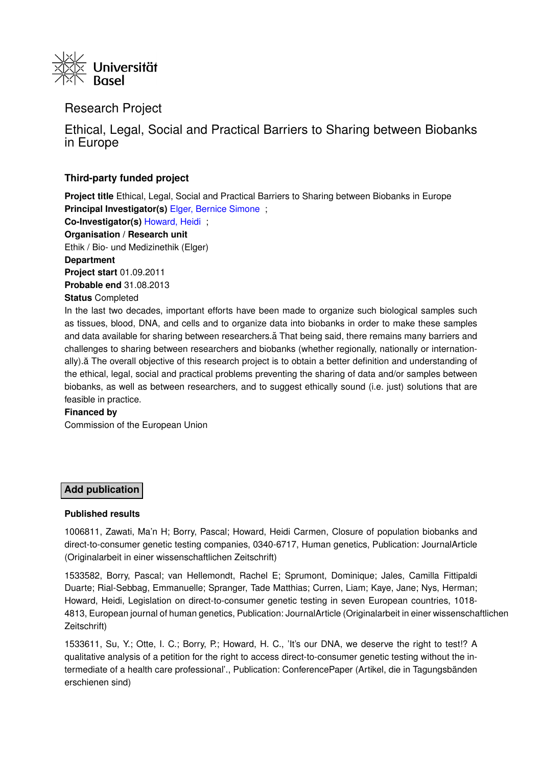

## Research Project

Ethical, Legal, Social and Practical Barriers to Sharing between Biobanks in Europe

### **Third-party funded project**

**Project title** Ethical, Legal, Social and Practical Barriers to Sharing between Biobanks in Europe **Principal Investigator(s)** [Elger, Bernice Simone](https://forschdb2.unibas.ch/inf2/profiles_view/profile_view.php?pid=4dbe2121d1ce2&int=2) ; **Co-Investigator(s)** [Howard, Heidi](https://forschdb2.unibas.ch/inf2/profiles_view/profile_view.php?pid=4e8a79b1cd143&int=2) ; **Organisation / Research unit** Ethik / Bio- und Medizinethik (Elger)

**Department**

**Project start** 01.09.2011

**Probable end** 31.08.2013

#### **Status** Completed

In the last two decades, important efforts have been made to organize such biological samples such as tissues, blood, DNA, and cells and to organize data into biobanks in order to make these samples and data available for sharing between researchers.a That being said, there remains many barriers and challenges to sharing between researchers and biobanks (whether regionally, nationally or internationally).ă The overall objective of this research project is to obtain a better definition and understanding of the ethical, legal, social and practical problems preventing the sharing of data and/or samples between biobanks, as well as between researchers, and to suggest ethically sound (i.e. just) solutions that are feasible in practice.

#### **Financed by**

Commission of the European Union

## **Add publication**

#### **Published results**

1006811, Zawati, Ma'n H; Borry, Pascal; Howard, Heidi Carmen, Closure of population biobanks and direct-to-consumer genetic testing companies, 0340-6717, Human genetics, Publication: JournalArticle (Originalarbeit in einer wissenschaftlichen Zeitschrift)

1533582, Borry, Pascal; van Hellemondt, Rachel E; Sprumont, Dominique; Jales, Camilla Fittipaldi Duarte; Rial-Sebbag, Emmanuelle; Spranger, Tade Matthias; Curren, Liam; Kaye, Jane; Nys, Herman; Howard, Heidi, Legislation on direct-to-consumer genetic testing in seven European countries, 1018- 4813, European journal of human genetics, Publication: JournalArticle (Originalarbeit in einer wissenschaftlichen Zeitschrift)

1533611, Su, Y.; Otte, I. C.; Borry, P.; Howard, H. C., 'It's our DNA, we deserve the right to test!? A qualitative analysis of a petition for the right to access direct-to-consumer genetic testing without the intermediate of a health care professional'., Publication: ConferencePaper (Artikel, die in Tagungsbänden erschienen sind)